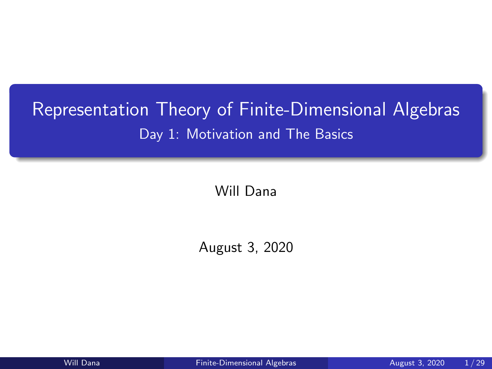# <span id="page-0-0"></span>Representation Theory of Finite-Dimensional Algebras Day 1: Motivation and The Basics

Will Dana

August 3, 2020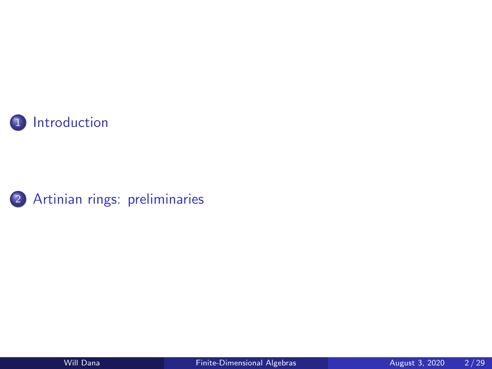

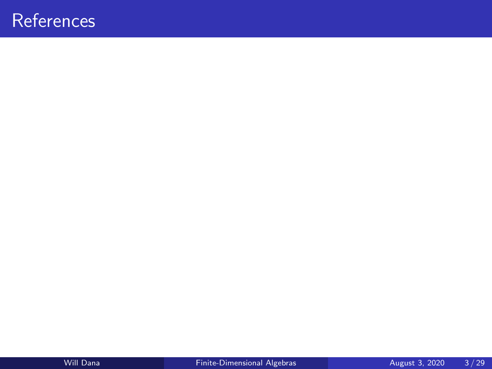# <span id="page-2-0"></span>**References**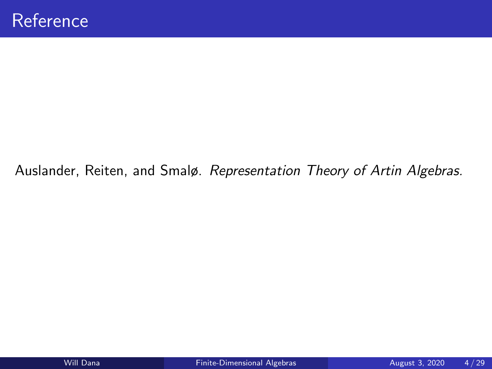### Auslander, Reiten, and Smalø. Representation Theory of Artin Algebras.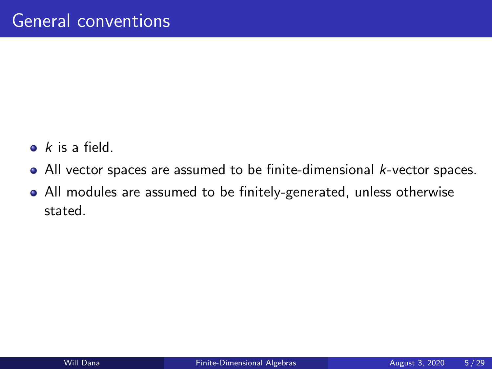- $\bullet$  k is a field.
- All vector spaces are assumed to be finite-dimensional *k*-vector spaces.
- All modules are assumed to be finitely-generated, unless otherwise stated.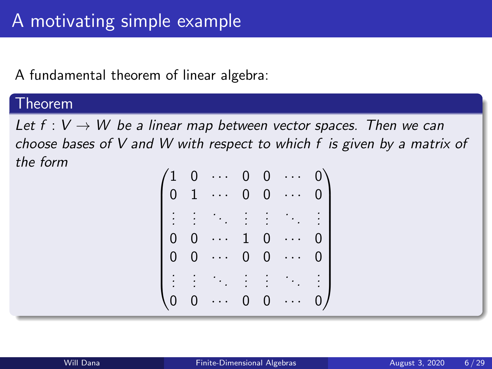## A fundamental theorem of linear algebra:

### Theorem

Let  $f: V \to W$  be a linear map between vector spaces. Then we can choose bases of V and W with respect to which f is given by a matrix of the form

| $\left\langle 1 \right\rangle$ | $\overline{0}$ | $\sim 100$ km s $^{-1}$      |                | $0 \quad 0$    | $\cdots$ | $0\setminus$   |  |
|--------------------------------|----------------|------------------------------|----------------|----------------|----------|----------------|--|
| 0 <sub>1</sub>                 |                | $\ldots$                     |                | $0\quad 0$     |          | 0 <sup>1</sup> |  |
|                                |                | 11 医生生物                      |                |                |          | $\pm$          |  |
| $\overline{0}$                 | $\overline{0}$ | $\ddot{\phantom{a}}$ .<br>٠. |                | $1\quad 0$     |          | 0 I            |  |
| $\overline{0}$                 | $\mathbf 0$    | $\ldots$                     | $\overline{0}$ | $\overline{0}$ | $\cdots$ | 0              |  |
|                                |                | <b>1. 中国 中国 中国</b>           |                |                |          | : 1            |  |
| $\overline{0}$                 | $\overline{0}$ |                              | 0              | $\overline{0}$ |          | 0 /            |  |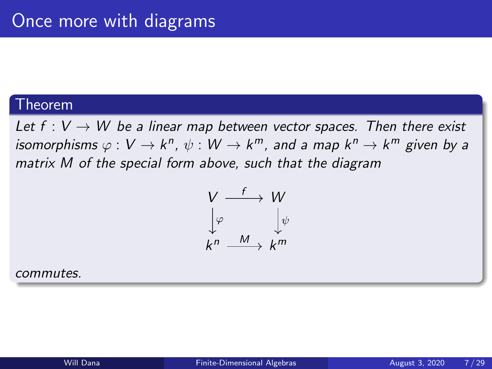#### Theorem

Let  $f: V \to W$  be a linear map between vector spaces. Then there exist isomorphisms  $\varphi: V \to k^n$ ,  $\psi: W \to k^m$ , and a map  $k^n \to k^m$  given by a matrix M of the special form above, such that the diagram

$$
\begin{array}{ccc}\nV & \xrightarrow{f} & W \\
\downarrow^{\varphi} & & \downarrow^{\psi} \\
k^{n} & \xrightarrow{M} & k^{m}\n\end{array}
$$

commutes.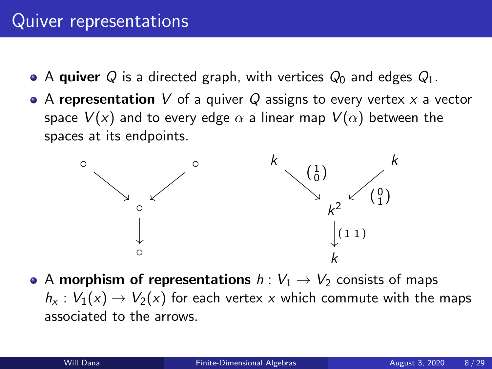# Quiver representations

- A quiver Q is a directed graph, with vertices  $Q_0$  and edges  $Q_1$ .
- A representation V of a quiver Q assigns to every vertex x a vector space  $V(x)$  and to every edge  $\alpha$  a linear map  $V(\alpha)$  between the spaces at its endpoints.



• A morphism of representations  $h: V_1 \rightarrow V_2$  consists of maps  $h_x: V_1(x) \to V_2(x)$  for each vertex x which commute with the maps associated to the arrows.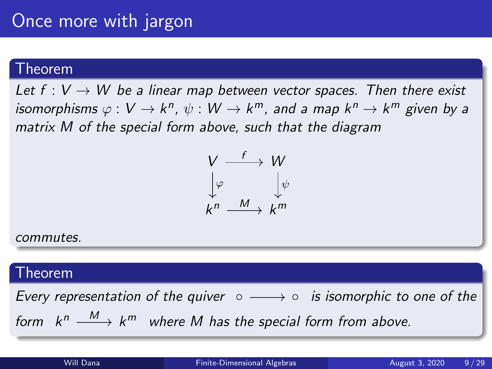### Theorem

Let  $f: V \to W$  be a linear map between vector spaces. Then there exist isomorphisms  $\varphi: V \to k^n$ ,  $\psi: W \to k^m$ , and a map  $k^n \to k^m$  given by a matrix M of the special form above, such that the diagram



#### commutes.

### Theorem

Every representation of the quiver  $\circ \longrightarrow \circ$  is isomorphic to one of the form  $k^n \stackrel{M}{\longrightarrow} k^m$  where M has the special form from above.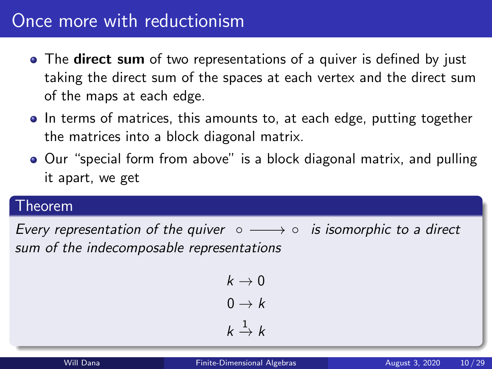# Once more with reductionism

- The **direct sum** of two representations of a quiver is defined by just taking the direct sum of the spaces at each vertex and the direct sum of the maps at each edge.
- In terms of matrices, this amounts to, at each edge, putting together the matrices into a block diagonal matrix.
- Our "special form from above" is a block diagonal matrix, and pulling it apart, we get

### Theorem

Every representation of the quiver  $\circ \longrightarrow \circ$  is isomorphic to a direct sum of the indecomposable representations

$$
k \to 0
$$

$$
0 \to k
$$

$$
k \xrightarrow{1} k
$$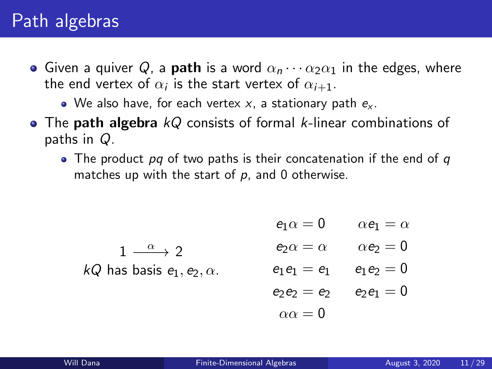# Path algebras

- Given a quiver Q, a **path** is a word  $\alpha_n \cdots \alpha_2 \alpha_1$  in the edges, where the end vertex of  $\alpha_i$  is the start vertex of  $\alpha_{i+1}.$ 
	- We also have, for each vertex x, a stationary path  $e_{x}$ .
- $\bullet$  The path algebra  $kQ$  consists of formal k-linear combinations of paths in Q.
	- The product pq of two paths is their concatenation if the end of q matches up with the start of  $p$ , and 0 otherwise.

$$
e_1 \alpha = 0 \qquad \alpha e_1 = \alpha
$$
  
\n
$$
1 \xrightarrow{\alpha} 2 \qquad e_2 \alpha = \alpha \qquad \alpha e_2 = 0
$$
  
\n*kQ* has basis  $e_1, e_2, \alpha$ .  
\n
$$
e_1 e_1 = e_1 \qquad e_1 e_2 = 0
$$

$$
e_2e_2=e_2\qquad e_2e_1=0
$$

$$
\alpha \alpha = 0
$$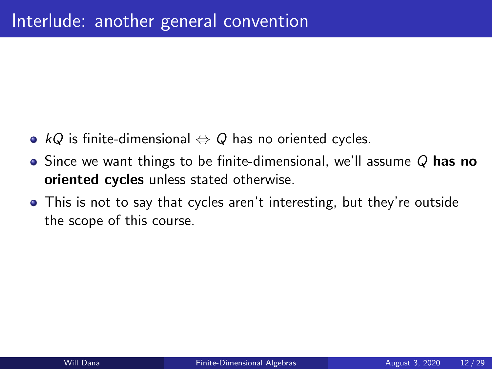- $kQ$  is finite-dimensional  $\Leftrightarrow Q$  has no oriented cycles.
- $\bullet$  Since we want things to be finite-dimensional, we'll assume Q has no oriented cycles unless stated otherwise.
- This is not to say that cycles aren't interesting, but they're outside the scope of this course.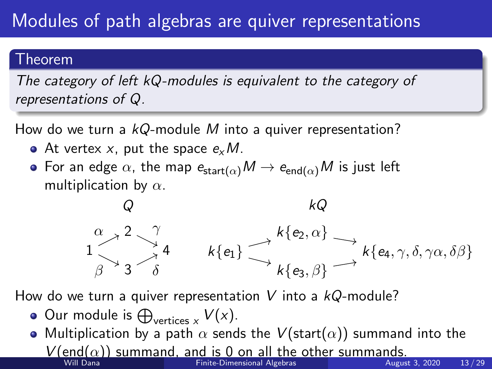# Modules of path algebras are quiver representations

### Theorem

The category of left kQ-modules is equivalent to the category of representations of Q.

How do we turn a  $kQ$ -module M into a quiver representation?

- At vertex x, put the space  $e_x M$ .
- For an edge  $\alpha$ , the map  $e_{\text{start}(\alpha)}M \to e_{\text{end}(\alpha)}M$  is just left multiplication by  $\alpha$ .

Q 1 2 3 4  $\alpha$   $\alpha$  2  $\alpha$  $\beta$  ^3^  $\delta$ kQ  $k\{e_1\}$  $k\{e_2,\alpha\}$  $k\{e_3, \beta\}$  $k\{e_4,\gamma,\delta,\gamma\alpha,\delta\beta\}$ 

How do we turn a quiver representation V into a  $kQ$ -module?

- Our module is  $\bigoplus_{\text{vertices } x} V(x)$ .
- Multiplication by a path  $\alpha$  sends the  $V(\text{start}(\alpha))$  summand into the  $V(\text{end}(\alpha))$  summand, and is 0 on all the other summands.<br>Will Dana Finite-Dimensional Algebras [Finite-Dimensional Algebras](#page-0-0) August 3, 2020 13/29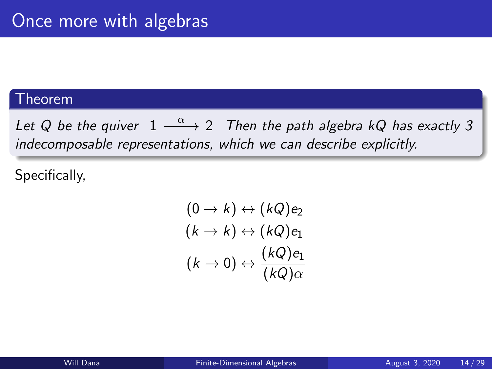### Theorem

Let Q be the quiver  $1 \stackrel{\alpha}{\longrightarrow} 2$  Then the path algebra kQ has exactly 3 indecomposable representations, which we can describe explicitly.

Specifically,

$$
(0 \to k) \leftrightarrow (kQ)e_2
$$
  

$$
(k \to k) \leftrightarrow (kQ)e_1
$$
  

$$
(k \to 0) \leftrightarrow \frac{(kQ)e_1}{(kQ)\alpha}
$$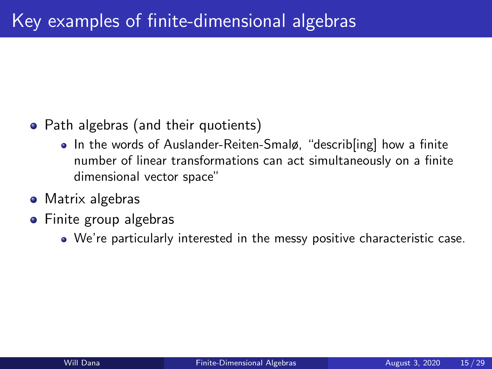## • Path algebras (and their quotients)

- In the words of Auslander-Reiten-Smalø, "describ[ing] how a finite number of linear transformations can act simultaneously on a finite dimensional vector space"
- Matrix algebras
- **•** Finite group algebras
	- We're particularly interested in the messy positive characteristic case.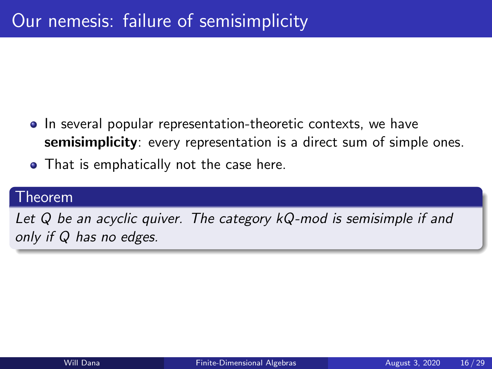- In several popular representation-theoretic contexts, we have semisimplicity: every representation is a direct sum of simple ones.
- That is emphatically not the case here.

### Theorem

Let Q be an acyclic quiver. The category kQ-mod is semisimple if and only if Q has no edges.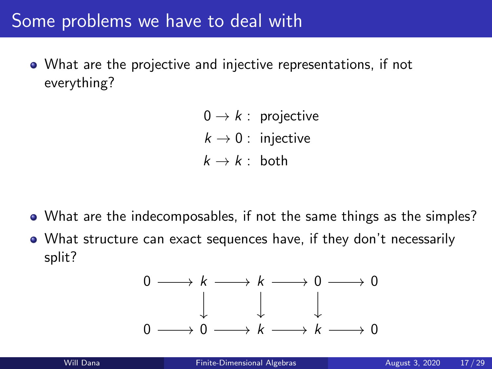# Some problems we have to deal with

- What are the projective and injective representations, if not everything?
	- $0 \rightarrow k$  : projective  $k \rightarrow 0$  : injective  $k \rightarrow k$  : both

- What are the indecomposables, if not the same things as the simples?
- What structure can exact sequences have, if they don't necessarily split?

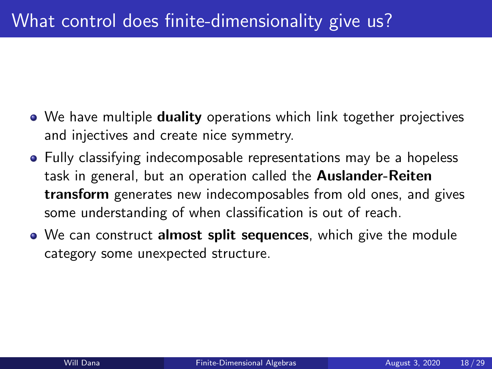- We have multiple **duality** operations which link together projectives and injectives and create nice symmetry.
- Fully classifying indecomposable representations may be a hopeless task in general, but an operation called the **Auslander-Reiten** transform generates new indecomposables from old ones, and gives some understanding of when classification is out of reach.
- We can construct **almost split sequences**, which give the module category some unexpected structure.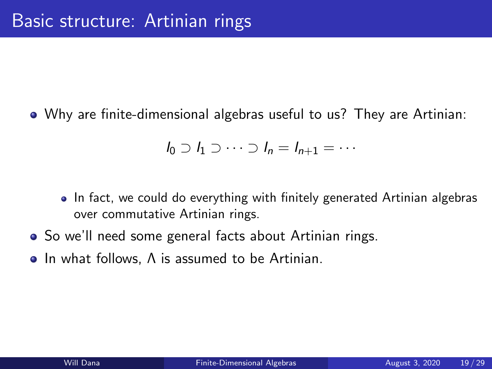<span id="page-18-0"></span>Why are finite-dimensional algebras useful to us? They are Artinian:

$$
l_0 \supset l_1 \supset \cdots \supset l_n = l_{n+1} = \cdots
$$

- In fact, we could do everything with finitely generated Artinian algebras over commutative Artinian rings.
- So we'll need some general facts about Artinian rings.
- In what follows. A is assumed to be Artinian.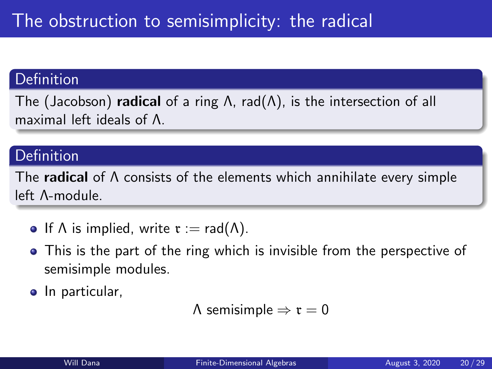### Definition

The (Jacobson) **radical** of a ring  $\Lambda$ , rad( $\Lambda$ ), is the intersection of all maximal left ideals of Λ.

## Definition

The **radical** of  $\Lambda$  consists of the elements which annihilate every simple left Λ-module.

- If  $\Lambda$  is implied, write  $\mathfrak{r} := \mathsf{rad}(\Lambda)$ .
- This is the part of the ring which is invisible from the perspective of semisimple modules.
- In particular,

```
Λ semisimple \Rightarrow τ = 0
```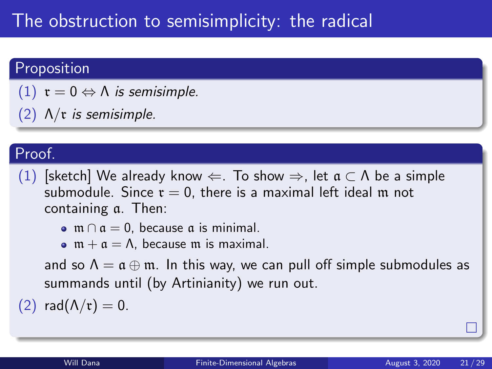# The obstruction to semisimplicity: the radical

# Proposition

- (1)  $r = 0 \Leftrightarrow \Lambda$  is semisimple.
- (2)  $Λ/τ$  is semisimple.

# Proof.

- (1) [sketch] We already know  $\Leftarrow$ . To show  $\Rightarrow$ , let  $\mathfrak{a} \subset \Lambda$  be a simple submodule. Since  $r = 0$ , there is a maximal left ideal m not containing a. Then:
	- $\bullet$  m  $\cap$   $\alpha = 0$ , because  $\alpha$  is minimal.
	- $\bullet$  m +  $\alpha = \Lambda$ , because m is maximal.

and so  $\Lambda = \mathfrak{a} \oplus \mathfrak{m}$ . In this way, we can pull off simple submodules as summands until (by Artinianity) we run out.

(2) rad( $\Lambda/\mathfrak{r}$ ) = 0.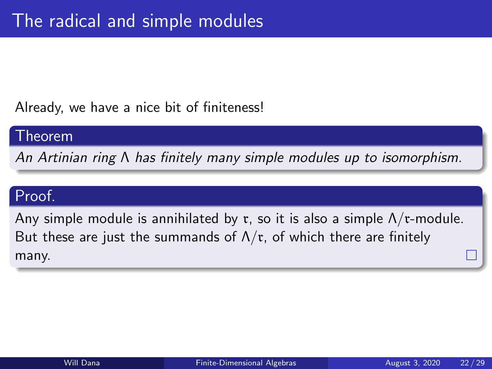Already, we have a nice bit of finiteness!

#### Theorem

An Artinian ring Λ has finitely many simple modules up to isomorphism.

## Proof.

Any simple module is annihilated by  $r$ , so it is also a simple  $\Lambda/r$ -module. But these are just the summands of  $\Lambda/\mathfrak{r}$ , of which there are finitely many.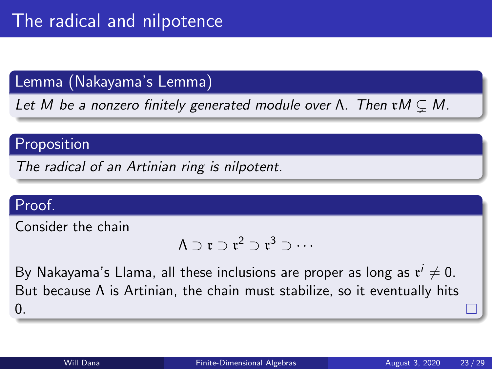## Lemma (Nakayama's Lemma)

Let M be a nonzero finitely generated module over  $\Lambda$ . Then  $\tau M \subset M$ .

### Proposition

The radical of an Artinian ring is nilpotent.

## Proof.

Consider the chain

$$
\Lambda\supset\mathfrak{r}\supset\mathfrak{r}^2\supset\mathfrak{r}^3\supset\cdots
$$

By Nakayama's Llama, all these inclusions are proper as long as  $\mathfrak{r}^i\neq 0.$ But because Λ is Artinian, the chain must stabilize, so it eventually hits 0.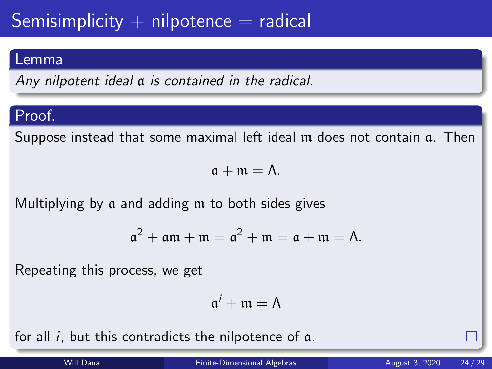# Semisimplicity  $+$  nilpotence  $=$  radical

### Lemma

Any nilpotent ideal a is contained in the radical.

# Proof.

Suppose instead that some maximal left ideal m does not contain a. Then

 $a + m = \Lambda$ .

Multiplying by a and adding m to both sides gives

$$
\mathfrak{a}^2 + \mathfrak{a}\mathfrak{m} + \mathfrak{m} = \mathfrak{a}^2 + \mathfrak{m} = \mathfrak{a} + \mathfrak{m} = \Lambda.
$$

Repeating this process, we get

$$
\mathfrak{a}^i+\mathfrak{m}=\Lambda
$$

for all i, but this contradicts the nilpotence of a.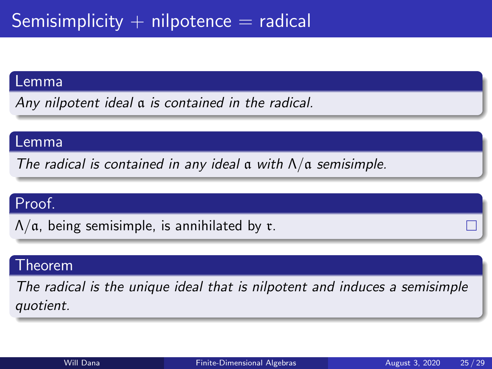#### Lemma

Any nilpotent ideal a is contained in the radical.

#### Lemma

The radical is contained in any ideal  $\alpha$  with  $\Lambda/\alpha$  semisimple.

## Proof.

 $\Lambda/a$ , being semisimple, is annihilated by r.

### Theorem

The radical is the unique ideal that is nilpotent and induces a semisimple quotient.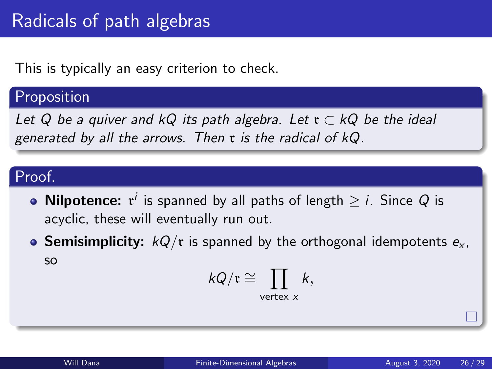This is typically an easy criterion to check.

### Proposition

Let Q be a quiver and kQ its path algebra. Let  $\mathfrak{r} \subset kQ$  be the ideal generated by all the arrows. Then  $x$  is the radical of  $kQ$ .

# Proof.

- **Nilpotence:**  $\mathfrak{r}^i$  is spanned by all paths of length  $\geq$   $i$ . Since  $Q$  is acyclic, these will eventually run out.
- **Semisimplicity:**  $kQ/\mathfrak{r}$  is spanned by the orthogonal idempotents  $e_{\mathbf{x}}$ , so

$$
kQ/\mathfrak{r}\cong \prod_{\text{vertex } x} k,
$$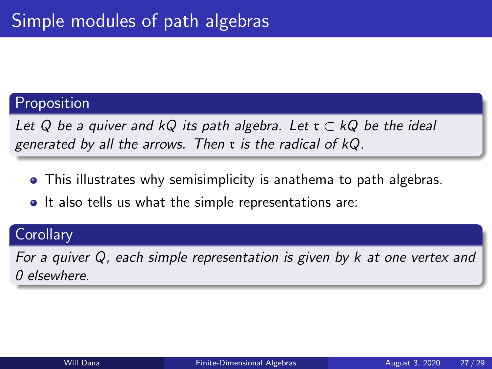## Proposition

Let Q be a quiver and kQ its path algebra. Let  $\mathfrak{r} \subset kQ$  be the ideal generated by all the arrows. Then  $x$  is the radical of  $kQ$ .

- This illustrates why semisimplicity is anathema to path algebras.
- It also tells us what the simple representations are:

### **Corollary**

For a quiver Q, each simple representation is given by k at one vertex and 0 elsewhere.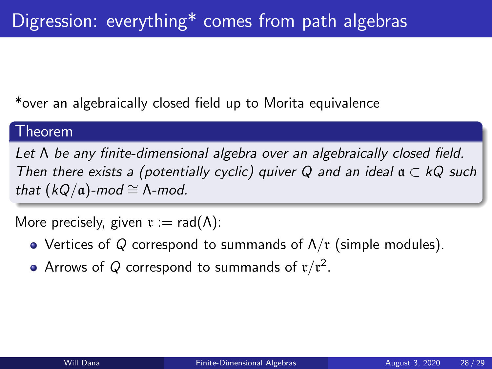\*over an algebraically closed field up to Morita equivalence

### Theorem

Let Λ be any finite-dimensional algebra over an algebraically closed field. Then there exists a (potentially cyclic) quiver Q and an ideal  $a \subset kQ$  such that  $(kQ/\mathfrak{a})$ -mod ≅  $\Lambda$ -mod.

More precisely, given  $\mathfrak{r} := \text{rad}(\Lambda)$ :

- Vertices of Q correspond to summands of  $\Lambda/\mathfrak{r}$  (simple modules).
- Arrows of  $Q$  correspond to summands of  $\mathfrak{r}/\mathfrak{r}^2$ .